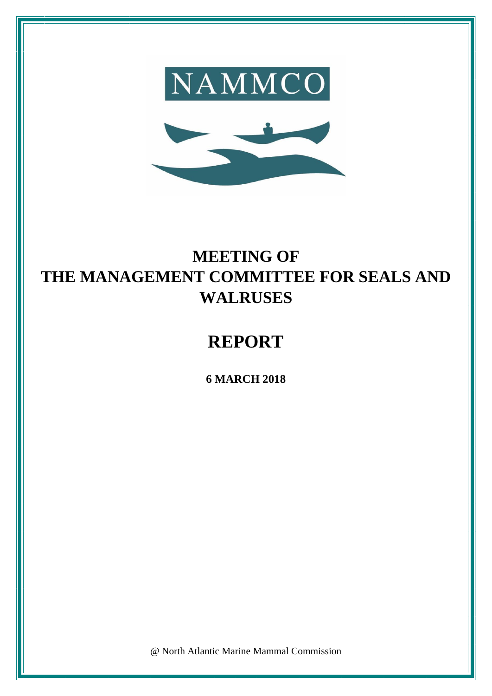



# **MEETING OF THE MANAGEMENT COMMITTEE FOR SEALS AND WALRUSES**

# **REPORT**

**6 MARCH 2018**

@ North Atlantic Marine Mammal Commission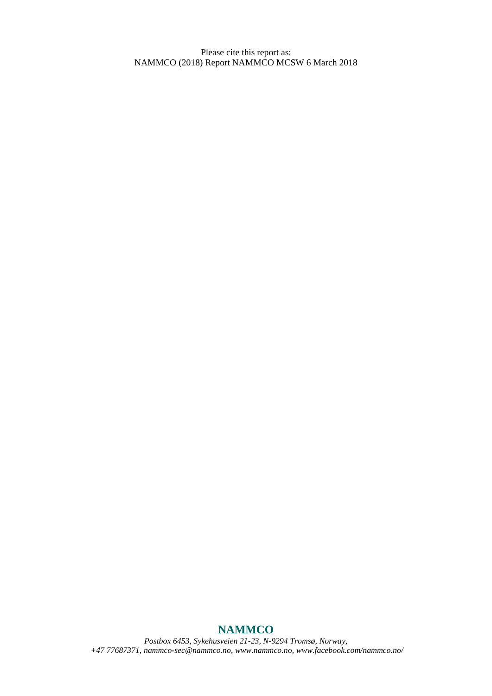Please cite this report as: NAMMCO (2018) Report NAMMCO MCSW 6 March 2018

# **NAMMCO**

*Postbox 6453, Sykehusveien 21-23, N-9294 Tromsø, Norway, +47 77687371, [nammco-sec@nammco.no,](mailto:nammco-sec@nammco.no) [www.nammco.no,](http://www.nammco.no/) [www.facebook.com/nammco.no/](http://www.facebook.com/nammco.no/)*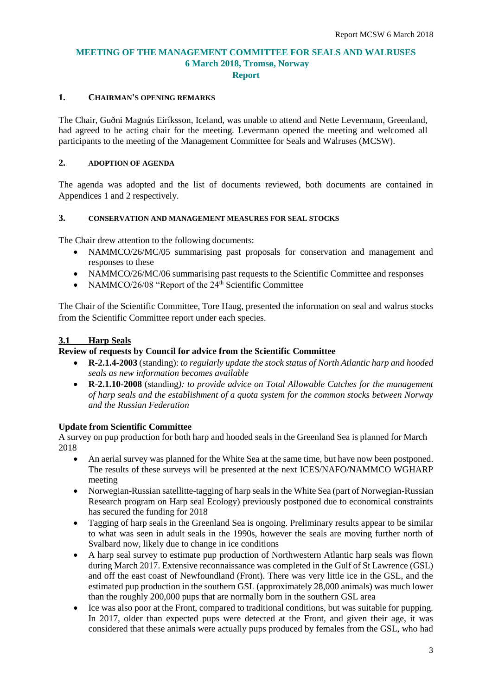# **MEETING OF THE MANAGEMENT COMMITTEE FOR SEALS AND WALRUSES 6 March 2018, Tromsø, Norway Report**

# **1. CHAIRMAN'S OPENING REMARKS**

The Chair, Guðni Magnús Eiríksson, Iceland, was unable to attend and Nette Levermann, Greenland, had agreed to be acting chair for the meeting. Levermann opened the meeting and welcomed all participants to the meeting of the Management Committee for Seals and Walruses (MCSW).

#### **2. ADOPTION OF AGENDA**

The agenda was adopted and the list of documents reviewed, both documents are contained in Appendices 1 and 2 respectively.

#### **3. CONSERVATION AND MANAGEMENT MEASURES FOR SEAL STOCKS**

The Chair drew attention to the following documents:

- NAMMCO/26/MC/05 summarising past proposals for conservation and management and responses to these
- NAMMCO/26/MC/06 summarising past requests to the Scientific Committee and responses
- NAMMCO/26/08 "Report of the  $24<sup>th</sup>$  Scientific Committee

The Chair of the Scientific Committee, Tore Haug, presented the information on seal and walrus stocks from the Scientific Committee report under each species.

#### **3.1 Harp Seals**

#### **Review of requests by Council for advice from the Scientific Committee**

- **R-2.1.4-2003** (standing): *to regularly update the stock status of North Atlantic harp and hooded seals as new information becomes available*
- **R**-**2.1.10-2008** (standing*): to provide advice on Total Allowable Catches for the management of harp seals and the establishment of a quota system for the common stocks between Norway and the Russian Federation*

#### **Update from Scientific Committee**

A survey on pup production for both harp and hooded seals in the Greenland Sea is planned for March 2018

- An aerial survey was planned for the White Sea at the same time, but have now been postponed. The results of these surveys will be presented at the next ICES/NAFO/NAMMCO WGHARP meeting
- Norwegian-Russian satellitte-tagging of harp seals in the White Sea (part of Norwegian-Russian Research program on Harp seal Ecology) previously postponed due to economical constraints has secured the funding for 2018
- Tagging of harp seals in the Greenland Sea is ongoing. Preliminary results appear to be similar to what was seen in adult seals in the 1990s, however the seals are moving further north of Svalbard now, likely due to change in ice conditions
- A harp seal survey to estimate pup production of Northwestern Atlantic harp seals was flown during March 2017. Extensive reconnaissance was completed in the Gulf of St Lawrence (GSL) and off the east coast of Newfoundland (Front). There was very little ice in the GSL, and the estimated pup production in the southern GSL (approximately 28,000 animals) was much lower than the roughly 200,000 pups that are normally born in the southern GSL area
- Ice was also poor at the Front, compared to traditional conditions, but was suitable for pupping. In 2017, older than expected pups were detected at the Front, and given their age, it was considered that these animals were actually pups produced by females from the GSL, who had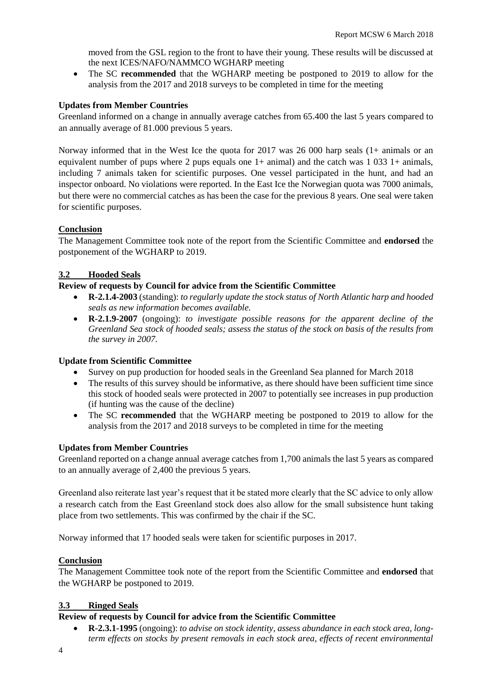moved from the GSL region to the front to have their young. These results will be discussed at the next ICES/NAFO/NAMMCO WGHARP meeting

• The SC **recommended** that the WGHARP meeting be postponed to 2019 to allow for the analysis from the 2017 and 2018 surveys to be completed in time for the meeting

### **Updates from Member Countries**

Greenland informed on a change in annually average catches from 65.400 the last 5 years compared to an annually average of 81.000 previous 5 years.

Norway informed that in the West Ice the quota for 2017 was 26 000 harp seals (1+ animals or an equivalent number of pups where 2 pups equals one  $1+$  animal) and the catch was  $1\,033\,1+$  animals, including 7 animals taken for scientific purposes. One vessel participated in the hunt, and had an inspector onboard. No violations were reported. In the East Ice the Norwegian quota was 7000 animals, but there were no commercial catches as has been the case for the previous 8 years. One seal were taken for scientific purposes.

# **Conclusion**

The Management Committee took note of the report from the Scientific Committee and **endorsed** the postponement of the WGHARP to 2019.

#### **3.2 Hooded Seals**

#### **Review of requests by Council for advice from the Scientific Committee**

- **R-2.1.4-2003** (standing): *to regularly update the stock status of North Atlantic harp and hooded seals as new information becomes available.*
- **R-2.1.9-2007** (ongoing): *to investigate possible reasons for the apparent decline of the Greenland Sea stock of hooded seals; assess the status of the stock on basis of the results from the survey in 2007.*

# **Update from Scientific Committee**

- Survey on pup production for hooded seals in the Greenland Sea planned for March 2018
- The results of this survey should be informative, as there should have been sufficient time since this stock of hooded seals were protected in 2007 to potentially see increases in pup production (if hunting was the cause of the decline)
- The SC **recommended** that the WGHARP meeting be postponed to 2019 to allow for the analysis from the 2017 and 2018 surveys to be completed in time for the meeting

# **Updates from Member Countries**

Greenland reported on a change annual average catches from 1,700 animals the last 5 years as compared to an annually average of 2,400 the previous 5 years.

Greenland also reiterate last year's request that it be stated more clearly that the SC advice to only allow a research catch from the East Greenland stock does also allow for the small subsistence hunt taking place from two settlements. This was confirmed by the chair if the SC.

Norway informed that 17 hooded seals were taken for scientific purposes in 2017.

#### **Conclusion**

The Management Committee took note of the report from the Scientific Committee and **endorsed** that the WGHARP be postponed to 2019.

# **3.3 Ringed Seals**

# **Review of requests by Council for advice from the Scientific Committee**

• **R-2.3.1-1995** (ongoing): *to advise on stock identity, assess abundance in each stock area, longterm effects on stocks by present removals in each stock area, effects of recent environmental*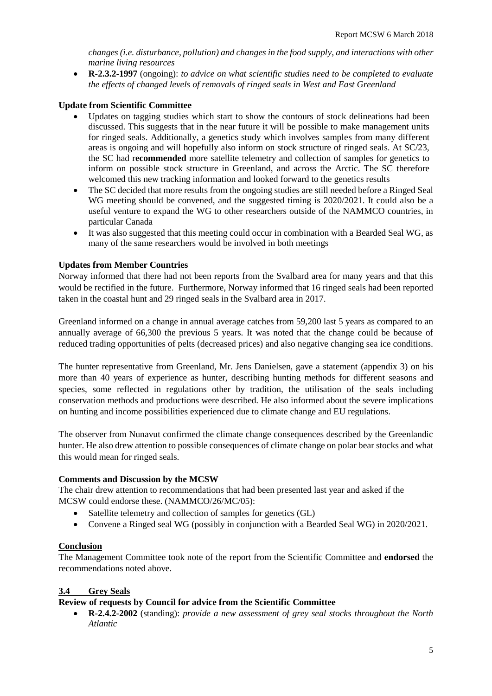*changes (i.e. disturbance, pollution) and changes in the food supply, and interactions with other marine living resources*

• **R-2.3.2-1997** (ongoing): *to advice on what scientific studies need to be completed to evaluate the effects of changed levels of removals of ringed seals in West and East Greenland*

#### **Update from Scientific Committee**

- Updates on tagging studies which start to show the contours of stock delineations had been discussed. This suggests that in the near future it will be possible to make management units for ringed seals. Additionally, a genetics study which involves samples from many different areas is ongoing and will hopefully also inform on stock structure of ringed seals. At SC/23, the SC had r**ecommended** more satellite telemetry and collection of samples for genetics to inform on possible stock structure in Greenland, and across the Arctic. The SC therefore welcomed this new tracking information and looked forward to the genetics results
- The SC decided that more results from the ongoing studies are still needed before a Ringed Seal WG meeting should be convened, and the suggested timing is 2020/2021. It could also be a useful venture to expand the WG to other researchers outside of the NAMMCO countries, in particular Canada
- It was also suggested that this meeting could occur in combination with a Bearded Seal WG, as many of the same researchers would be involved in both meetings

#### **Updates from Member Countries**

Norway informed that there had not been reports from the Svalbard area for many years and that this would be rectified in the future. Furthermore, Norway informed that 16 ringed seals had been reported taken in the coastal hunt and 29 ringed seals in the Svalbard area in 2017.

Greenland informed on a change in annual average catches from 59,200 last 5 years as compared to an annually average of 66,300 the previous 5 years. It was noted that the change could be because of reduced trading opportunities of pelts (decreased prices) and also negative changing sea ice conditions.

The hunter representative from Greenland, Mr. Jens Danielsen, gave a statement (appendix 3) on his more than 40 years of experience as hunter, describing hunting methods for different seasons and species, some reflected in regulations other by tradition, the utilisation of the seals including conservation methods and productions were described. He also informed about the severe implications on hunting and income possibilities experienced due to climate change and EU regulations.

The observer from Nunavut confirmed the climate change consequences described by the Greenlandic hunter. He also drew attention to possible consequences of climate change on polar bear stocks and what this would mean for ringed seals.

#### **Comments and Discussion by the MCSW**

The chair drew attention to recommendations that had been presented last year and asked if the MCSW could endorse these. (NAMMCO/26/MC/05):

- Satellite telemetry and collection of samples for genetics (GL)
- Convene a Ringed seal WG (possibly in conjunction with a Bearded Seal WG) in 2020/2021.

# **Conclusion**

The Management Committee took note of the report from the Scientific Committee and **endorsed** the recommendations noted above.

# **3.4 Grey Seals**

#### **Review of requests by Council for advice from the Scientific Committee**

• **R-2.4.2-2002** (standing): *provide a new assessment of grey seal stocks throughout the North Atlantic*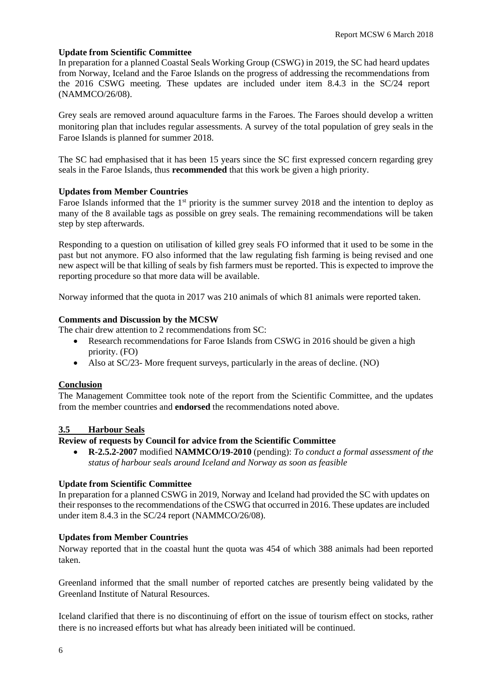#### **Update from Scientific Committee**

In preparation for a planned Coastal Seals Working Group (CSWG) in 2019, the SC had heard updates from Norway, Iceland and the Faroe Islands on the progress of addressing the recommendations from the 2016 CSWG meeting. These updates are included under item 8.4.3 in the SC/24 report (NAMMCO/26/08).

Grey seals are removed around aquaculture farms in the Faroes. The Faroes should develop a written monitoring plan that includes regular assessments. A survey of the total population of grey seals in the Faroe Islands is planned for summer 2018.

The SC had emphasised that it has been 15 years since the SC first expressed concern regarding grey seals in the Faroe Islands, thus **recommended** that this work be given a high priority.

#### **Updates from Member Countries**

Faroe Islands informed that the 1<sup>st</sup> priority is the summer survey 2018 and the intention to deploy as many of the 8 available tags as possible on grey seals. The remaining recommendations will be taken step by step afterwards.

Responding to a question on utilisation of killed grey seals FO informed that it used to be some in the past but not anymore. FO also informed that the law regulating fish farming is being revised and one new aspect will be that killing of seals by fish farmers must be reported. This is expected to improve the reporting procedure so that more data will be available.

Norway informed that the quota in 2017 was 210 animals of which 81 animals were reported taken.

#### **Comments and Discussion by the MCSW**

The chair drew attention to 2 recommendations from SC:

- Research recommendations for Faroe Islands from CSWG in 2016 should be given a high priority. (FO)
- Also at SC/23- More frequent surveys, particularly in the areas of decline. (NO)

# **Conclusion**

The Management Committee took note of the report from the Scientific Committee, and the updates from the member countries and **endorsed** the recommendations noted above.

#### **3.5 Harbour Seals**

#### **Review of requests by Council for advice from the Scientific Committee**

• **R-2.5.2-2007** modified **NAMMCO/19-2010** (pending): *To conduct a formal assessment of the status of harbour seals around Iceland and Norway as soon as feasible*

#### **Update from Scientific Committee**

In preparation for a planned CSWG in 2019, Norway and Iceland had provided the SC with updates on their responses to the recommendations of the CSWG that occurred in 2016. These updates are included under item 8.4.3 in the SC/24 report (NAMMCO/26/08).

#### **Updates from Member Countries**

Norway reported that in the coastal hunt the quota was 454 of which 388 animals had been reported taken.

Greenland informed that the small number of reported catches are presently being validated by the Greenland Institute of Natural Resources.

Iceland clarified that there is no discontinuing of effort on the issue of tourism effect on stocks, rather there is no increased efforts but what has already been initiated will be continued.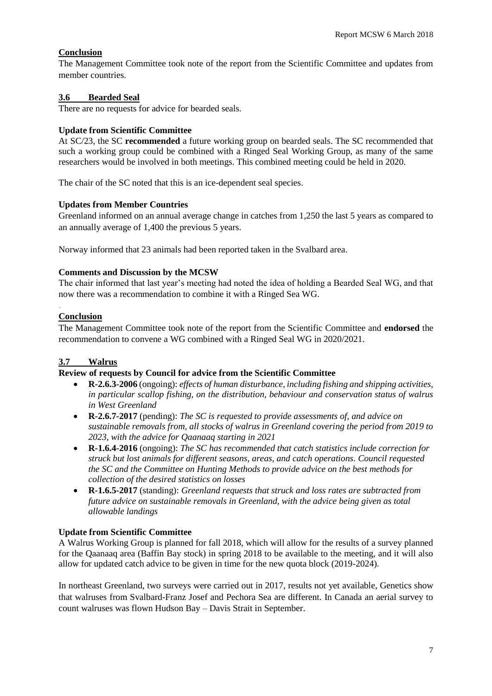# **Conclusion**

The Management Committee took note of the report from the Scientific Committee and updates from member countries.

# **3.6 Bearded Seal**

There are no requests for advice for bearded seals.

# **Update from Scientific Committee**

At SC/23, the SC **recommended** a future working group on bearded seals. The SC recommended that such a working group could be combined with a Ringed Seal Working Group, as many of the same researchers would be involved in both meetings. This combined meeting could be held in 2020.

The chair of the SC noted that this is an ice-dependent seal species.

# **Updates from Member Countries**

Greenland informed on an annual average change in catches from 1,250 the last 5 years as compared to an annually average of 1,400 the previous 5 years.

Norway informed that 23 animals had been reported taken in the Svalbard area.

# **Comments and Discussion by the MCSW**

The chair informed that last year's meeting had noted the idea of holding a Bearded Seal WG, and that now there was a recommendation to combine it with a Ringed Sea WG.

#### . **Conclusion**

The Management Committee took note of the report from the Scientific Committee and **endorsed** the recommendation to convene a WG combined with a Ringed Seal WG in 2020/2021.

# **3.7 Walrus**

#### **Review of requests by Council for advice from the Scientific Committee**

- **R-2.6.3-2006** (ongoing): *effects of human disturbance, including fishing and shipping activities, in particular scallop fishing, on the distribution, behaviour and conservation status of walrus in West Greenland*
- **R-2.6.7-2017** (pending): *The SC is requested to provide assessments of, and advice on sustainable removals from, all stocks of walrus in Greenland covering the period from 2019 to 2023, with the advice for Qaanaaq starting in 2021*
- **R-1.6.4-2016** (ongoing): *The SC has recommended that catch statistics include correction for struck but lost animals for different seasons, areas, and catch operations. Council requested the SC and the Committee on Hunting Methods to provide advice on the best methods for collection of the desired statistics on losses*
- **R-1.6.5-2017** (standing): *Greenland requests that struck and loss rates are subtracted from future advice on sustainable removals in Greenland, with the advice being given as total allowable landings*

# **Update from Scientific Committee**

A Walrus Working Group is planned for fall 2018, which will allow for the results of a survey planned for the Qaanaaq area (Baffin Bay stock) in spring 2018 to be available to the meeting, and it will also allow for updated catch advice to be given in time for the new quota block (2019-2024).

In northeast Greenland, two surveys were carried out in 2017, results not yet available, Genetics show that walruses from Svalbard-Franz Josef and Pechora Sea are different. In Canada an aerial survey to count walruses was flown Hudson Bay – Davis Strait in September.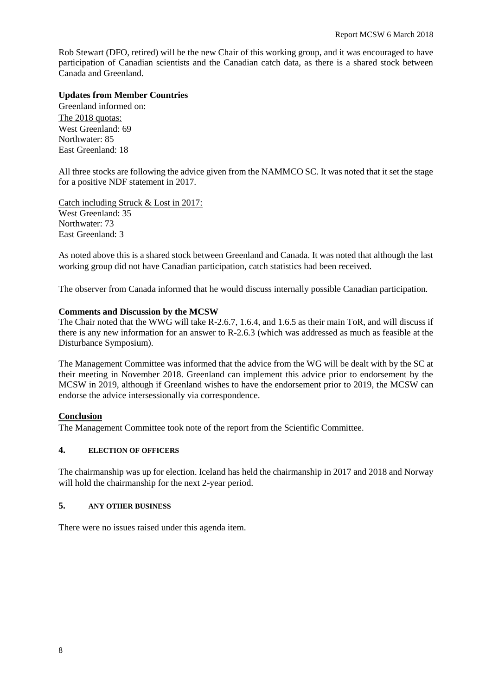Rob Stewart (DFO, retired) will be the new Chair of this working group, and it was encouraged to have participation of Canadian scientists and the Canadian catch data, as there is a shared stock between Canada and Greenland.

### **Updates from Member Countries**

Greenland informed on: The 2018 quotas: West Greenland: 69 Northwater: 85 East Greenland: 18

All three stocks are following the advice given from the NAMMCO SC. It was noted that it set the stage for a positive NDF statement in 2017.

Catch including Struck & Lost in 2017: West Greenland: 35 Northwater: 73 East Greenland: 3

As noted above this is a shared stock between Greenland and Canada. It was noted that although the last working group did not have Canadian participation, catch statistics had been received.

The observer from Canada informed that he would discuss internally possible Canadian participation.

#### **Comments and Discussion by the MCSW**

The Chair noted that the WWG will take R-2.6.7, 1.6.4, and 1.6.5 as their main ToR, and will discuss if there is any new information for an answer to R-2.6.3 (which was addressed as much as feasible at the Disturbance Symposium).

The Management Committee was informed that the advice from the WG will be dealt with by the SC at their meeting in November 2018. Greenland can implement this advice prior to endorsement by the MCSW in 2019, although if Greenland wishes to have the endorsement prior to 2019, the MCSW can endorse the advice intersessionally via correspondence.

#### **Conclusion**

The Management Committee took note of the report from the Scientific Committee.

#### **4. ELECTION OF OFFICERS**

The chairmanship was up for election. Iceland has held the chairmanship in 2017 and 2018 and Norway will hold the chairmanship for the next 2-year period.

#### **5. ANY OTHER BUSINESS**

There were no issues raised under this agenda item.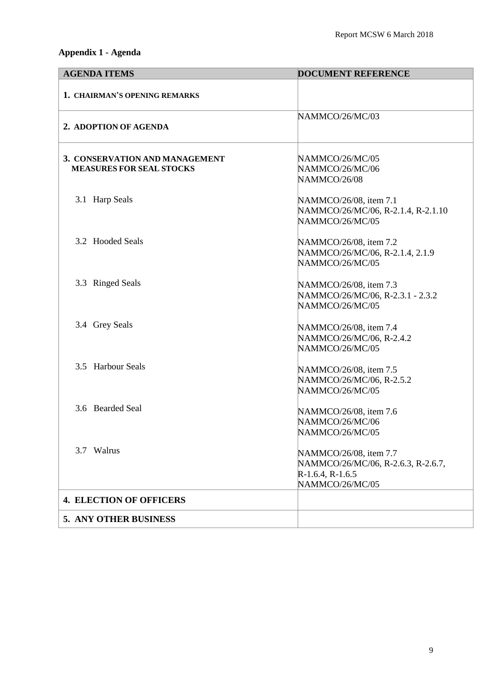# **Appendix 1 - Agenda**

| <b>AGENDA ITEMS</b>                                               | <b>DOCUMENT REFERENCE</b>                                                                             |  |
|-------------------------------------------------------------------|-------------------------------------------------------------------------------------------------------|--|
| 1. CHAIRMAN'S OPENING REMARKS                                     |                                                                                                       |  |
| 2. ADOPTION OF AGENDA                                             | NAMMCO/26/MC/03                                                                                       |  |
| 3. CONSERVATION AND MANAGEMENT<br><b>MEASURES FOR SEAL STOCKS</b> | NAMMCO/26/MC/05<br>NAMMCO/26/MC/06<br><b>NAMMCO/26/08</b>                                             |  |
| 3.1 Harp Seals                                                    | NAMMCO/26/08, item 7.1<br>NAMMCO/26/MC/06, R-2.1.4, R-2.1.10<br>NAMMCO/26/MC/05                       |  |
| 3.2 Hooded Seals                                                  | NAMMCO/26/08, item 7.2<br>NAMMCO/26/MC/06, R-2.1.4, 2.1.9<br>NAMMCO/26/MC/05                          |  |
| 3.3 Ringed Seals                                                  | NAMMCO/26/08, item 7.3<br>NAMMCO/26/MC/06, R-2.3.1 - 2.3.2<br>NAMMCO/26/MC/05                         |  |
| 3.4 Grey Seals                                                    | NAMMCO/26/08, item 7.4<br>NAMMCO/26/MC/06, R-2.4.2<br>NAMMCO/26/MC/05                                 |  |
| 3.5 Harbour Seals                                                 | NAMMCO/26/08, item 7.5<br>NAMMCO/26/MC/06, R-2.5.2<br>NAMMCO/26/MC/05                                 |  |
| 3.6 Bearded Seal                                                  | NAMMCO/26/08, item 7.6<br>NAMMCO/26/MC/06<br>NAMMCO/26/MC/05                                          |  |
| 3.7 Walrus                                                        | NAMMCO/26/08, item 7.7<br>NAMMCO/26/MC/06, R-2.6.3, R-2.6.7,<br>$R-1.6.4, R-1.6.5$<br>NAMMCO/26/MC/05 |  |
| <b>4. ELECTION OF OFFICERS</b>                                    |                                                                                                       |  |
| <b>5. ANY OTHER BUSINESS</b>                                      |                                                                                                       |  |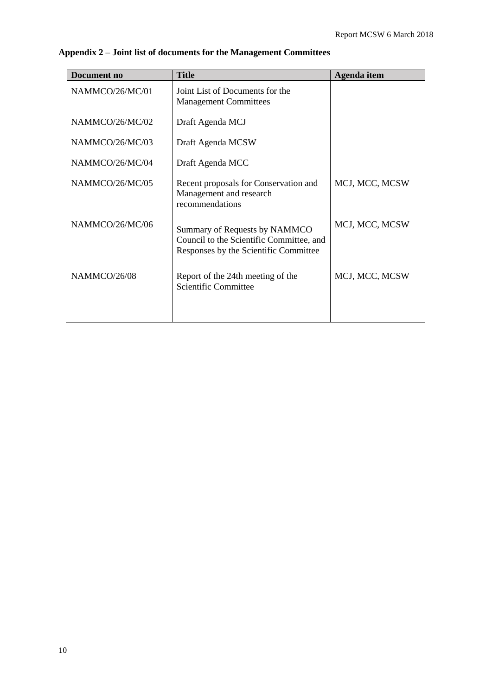| Document no         | <b>Title</b>                                                                                                       | Agenda item    |
|---------------------|--------------------------------------------------------------------------------------------------------------------|----------------|
| NAMMCO/26/MC/01     | Joint List of Documents for the<br><b>Management Committees</b>                                                    |                |
| NAMMCO/26/MC/02     | Draft Agenda MCJ                                                                                                   |                |
| NAMMCO/26/MC/03     | Draft Agenda MCSW                                                                                                  |                |
| NAMMCO/26/MC/04     | Draft Agenda MCC                                                                                                   |                |
| NAMMCO/26/MC/05     | Recent proposals for Conservation and<br>Management and research<br>recommendations                                | MCJ, MCC, MCSW |
| NAMMCO/26/MC/06     | Summary of Requests by NAMMCO<br>Council to the Scientific Committee, and<br>Responses by the Scientific Committee | MCJ, MCC, MCSW |
| <b>NAMMCO/26/08</b> | Report of the 24th meeting of the<br>Scientific Committee                                                          | MCJ, MCC, MCSW |
|                     |                                                                                                                    |                |

**Appendix 2 – Joint list of documents for the Management Committees**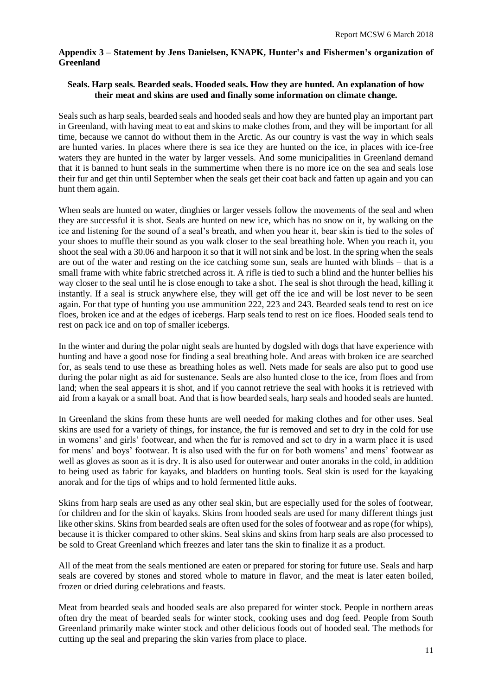#### **Appendix 3 – Statement by Jens Danielsen, KNAPK, Hunter's and Fishermen's organization of Greenland**

#### **Seals. Harp seals. Bearded seals. Hooded seals. How they are hunted. An explanation of how their meat and skins are used and finally some information on climate change.**

Seals such as harp seals, bearded seals and hooded seals and how they are hunted play an important part in Greenland, with having meat to eat and skins to make clothes from, and they will be important for all time, because we cannot do without them in the Arctic. As our country is vast the way in which seals are hunted varies. In places where there is sea ice they are hunted on the ice, in places with ice-free waters they are hunted in the water by larger vessels. And some municipalities in Greenland demand that it is banned to hunt seals in the summertime when there is no more ice on the sea and seals lose their fur and get thin until September when the seals get their coat back and fatten up again and you can hunt them again.

When seals are hunted on water, dinghies or larger vessels follow the movements of the seal and when they are successful it is shot. Seals are hunted on new ice, which has no snow on it, by walking on the ice and listening for the sound of a seal's breath, and when you hear it, bear skin is tied to the soles of your shoes to muffle their sound as you walk closer to the seal breathing hole. When you reach it, you shoot the seal with a 30.06 and harpoon it so that it will not sink and be lost. In the spring when the seals are out of the water and resting on the ice catching some sun, seals are hunted with blinds – that is a small frame with white fabric stretched across it. A rifle is tied to such a blind and the hunter bellies his way closer to the seal until he is close enough to take a shot. The seal is shot through the head, killing it instantly. If a seal is struck anywhere else, they will get off the ice and will be lost never to be seen again. For that type of hunting you use ammunition 222, 223 and 243. Bearded seals tend to rest on ice floes, broken ice and at the edges of icebergs. Harp seals tend to rest on ice floes. Hooded seals tend to rest on pack ice and on top of smaller icebergs.

In the winter and during the polar night seals are hunted by dogsled with dogs that have experience with hunting and have a good nose for finding a seal breathing hole. And areas with broken ice are searched for, as seals tend to use these as breathing holes as well. Nets made for seals are also put to good use during the polar night as aid for sustenance. Seals are also hunted close to the ice, from floes and from land; when the seal appears it is shot, and if you cannot retrieve the seal with hooks it is retrieved with aid from a kayak or a small boat. And that is how bearded seals, harp seals and hooded seals are hunted.

In Greenland the skins from these hunts are well needed for making clothes and for other uses. Seal skins are used for a variety of things, for instance, the fur is removed and set to dry in the cold for use in womens' and girls' footwear, and when the fur is removed and set to dry in a warm place it is used for mens' and boys' footwear. It is also used with the fur on for both womens' and mens' footwear as well as gloves as soon as it is dry. It is also used for outerwear and outer anoraks in the cold, in addition to being used as fabric for kayaks, and bladders on hunting tools. Seal skin is used for the kayaking anorak and for the tips of whips and to hold fermented little auks.

Skins from harp seals are used as any other seal skin, but are especially used for the soles of footwear, for children and for the skin of kayaks. Skins from hooded seals are used for many different things just like other skins. Skins from bearded seals are often used for the soles of footwear and as rope (for whips), because it is thicker compared to other skins. Seal skins and skins from harp seals are also processed to be sold to Great Greenland which freezes and later tans the skin to finalize it as a product.

All of the meat from the seals mentioned are eaten or prepared for storing for future use. Seals and harp seals are covered by stones and stored whole to mature in flavor, and the meat is later eaten boiled, frozen or dried during celebrations and feasts.

Meat from [bearded seals](https://oqaasileriffik.gl/ordbog/?lex=129470) and hooded seals are also prepared for winter stock. People in northern areas often dry the meat of bearded seals for winter stock, cooking uses and dog feed. People from South Greenland primarily make winter stock and other delicious foods out of hooded seal. The methods for cutting up the seal and preparing the skin varies from place to place.